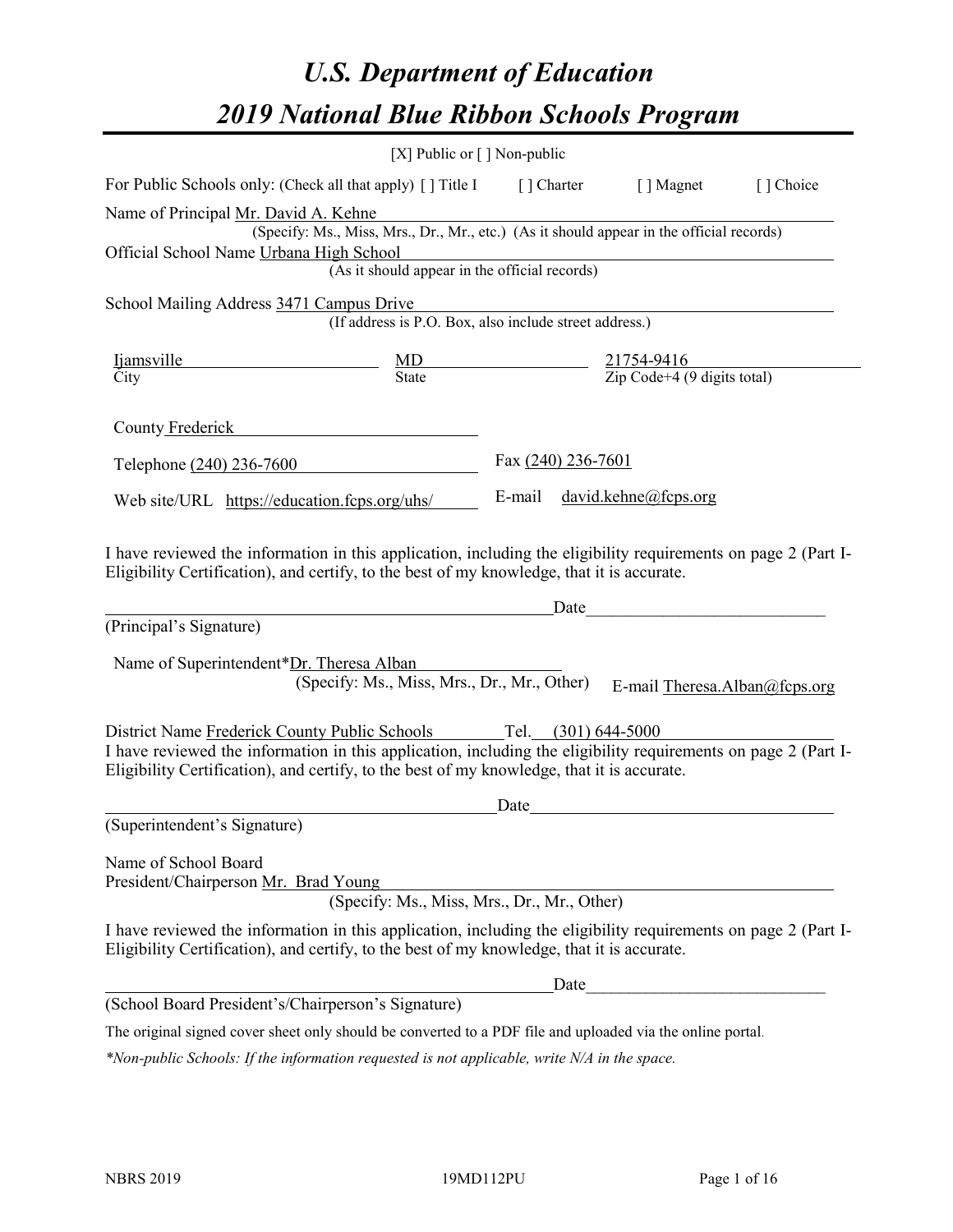# *U.S. Department of Education 2019 National Blue Ribbon Schools Program*

|                                                                                                                                                                                                                                                                                     | [X] Public or $\lceil$ ] Non-public                                                      |                     |                                                         |           |
|-------------------------------------------------------------------------------------------------------------------------------------------------------------------------------------------------------------------------------------------------------------------------------------|------------------------------------------------------------------------------------------|---------------------|---------------------------------------------------------|-----------|
| For Public Schools only: (Check all that apply) [] Title I                                                                                                                                                                                                                          |                                                                                          | [] Charter          | [ ] Magnet                                              | [] Choice |
| Name of Principal Mr. David A. Kehne<br>Official School Name Urbana High School                                                                                                                                                                                                     | (Specify: Ms., Miss, Mrs., Dr., Mr., etc.) (As it should appear in the official records) |                     |                                                         |           |
|                                                                                                                                                                                                                                                                                     | (As it should appear in the official records)                                            |                     |                                                         |           |
| School Mailing Address 3471 Campus Drive                                                                                                                                                                                                                                            | (If address is P.O. Box, also include street address.)                                   |                     |                                                         |           |
| <i>ljamsville</i><br>City                                                                                                                                                                                                                                                           | $\underline{\text{MD}}$<br>State                                                         |                     | $\frac{21754-9416}{\text{Zip Code}+4 (9 digits total)}$ |           |
| County Frederick                                                                                                                                                                                                                                                                    |                                                                                          |                     |                                                         |           |
| Telephone (240) 236-7600                                                                                                                                                                                                                                                            |                                                                                          | Fax (240) 236-7601  |                                                         |           |
| Web site/URL https://education.fcps.org/uhs/                                                                                                                                                                                                                                        |                                                                                          | E-mail              | david.kehne@feps.org                                    |           |
| I have reviewed the information in this application, including the eligibility requirements on page 2 (Part I-<br>Eligibility Certification), and certify, to the best of my knowledge, that it is accurate.<br>(Principal's Signature)<br>Name of Superintendent*Dr. Theresa Alban | (Specify: Ms., Miss, Mrs., Dr., Mr., Other)                                              | Date                | E-mail Theresa.Alban@fcps.org                           |           |
| District Name Frederick County Public Schools<br>I have reviewed the information in this application, including the eligibility requirements on page 2 (Part I-<br>Eligibility Certification), and certify, to the best of my knowledge, that it is accurate.                       |                                                                                          | Tel. (301) 644-5000 |                                                         |           |
| (Superintendent's Signature)                                                                                                                                                                                                                                                        |                                                                                          | Date                |                                                         |           |
| Name of School Board<br>President/Chairperson Mr. Brad Young                                                                                                                                                                                                                        | (Specify: Ms., Miss, Mrs., Dr., Mr., Other)                                              |                     |                                                         |           |
| I have reviewed the information in this application, including the eligibility requirements on page 2 (Part I-<br>Eligibility Certification), and certify, to the best of my knowledge, that it is accurate.                                                                        |                                                                                          |                     |                                                         |           |
|                                                                                                                                                                                                                                                                                     |                                                                                          | Date                |                                                         |           |
| (School Board President's/Chairperson's Signature)                                                                                                                                                                                                                                  |                                                                                          |                     |                                                         |           |
| The original signed cover sheet only should be converted to a PDF file and uploaded via the online portal.                                                                                                                                                                          |                                                                                          |                     |                                                         |           |

*\*Non-public Schools: If the information requested is not applicable, write N/A in the space.*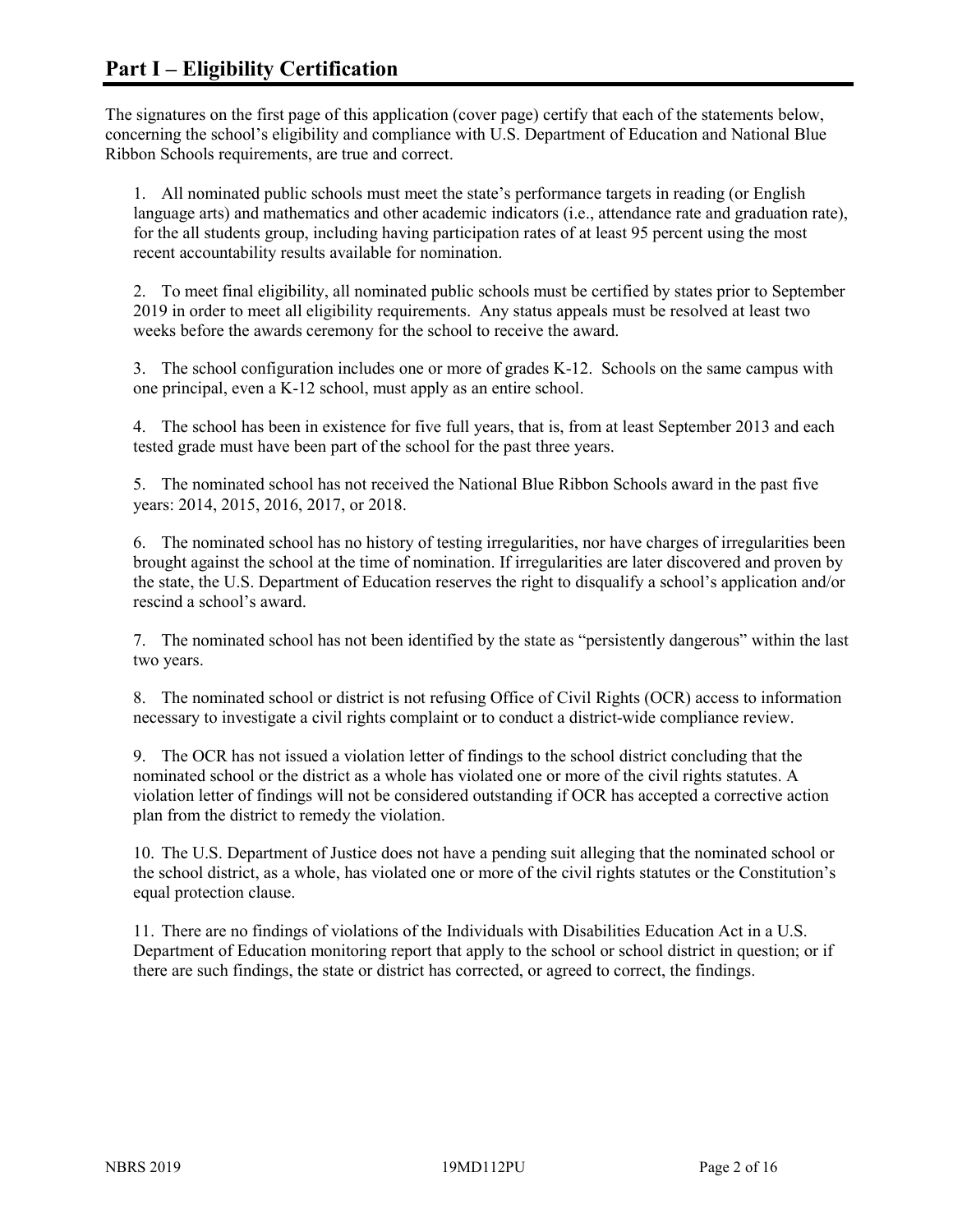The signatures on the first page of this application (cover page) certify that each of the statements below, concerning the school's eligibility and compliance with U.S. Department of Education and National Blue Ribbon Schools requirements, are true and correct.

1. All nominated public schools must meet the state's performance targets in reading (or English language arts) and mathematics and other academic indicators (i.e., attendance rate and graduation rate), for the all students group, including having participation rates of at least 95 percent using the most recent accountability results available for nomination.

2. To meet final eligibility, all nominated public schools must be certified by states prior to September 2019 in order to meet all eligibility requirements. Any status appeals must be resolved at least two weeks before the awards ceremony for the school to receive the award.

3. The school configuration includes one or more of grades K-12. Schools on the same campus with one principal, even a K-12 school, must apply as an entire school.

4. The school has been in existence for five full years, that is, from at least September 2013 and each tested grade must have been part of the school for the past three years.

5. The nominated school has not received the National Blue Ribbon Schools award in the past five years: 2014, 2015, 2016, 2017, or 2018.

6. The nominated school has no history of testing irregularities, nor have charges of irregularities been brought against the school at the time of nomination. If irregularities are later discovered and proven by the state, the U.S. Department of Education reserves the right to disqualify a school's application and/or rescind a school's award.

7. The nominated school has not been identified by the state as "persistently dangerous" within the last two years.

8. The nominated school or district is not refusing Office of Civil Rights (OCR) access to information necessary to investigate a civil rights complaint or to conduct a district-wide compliance review.

9. The OCR has not issued a violation letter of findings to the school district concluding that the nominated school or the district as a whole has violated one or more of the civil rights statutes. A violation letter of findings will not be considered outstanding if OCR has accepted a corrective action plan from the district to remedy the violation.

10. The U.S. Department of Justice does not have a pending suit alleging that the nominated school or the school district, as a whole, has violated one or more of the civil rights statutes or the Constitution's equal protection clause.

11. There are no findings of violations of the Individuals with Disabilities Education Act in a U.S. Department of Education monitoring report that apply to the school or school district in question; or if there are such findings, the state or district has corrected, or agreed to correct, the findings.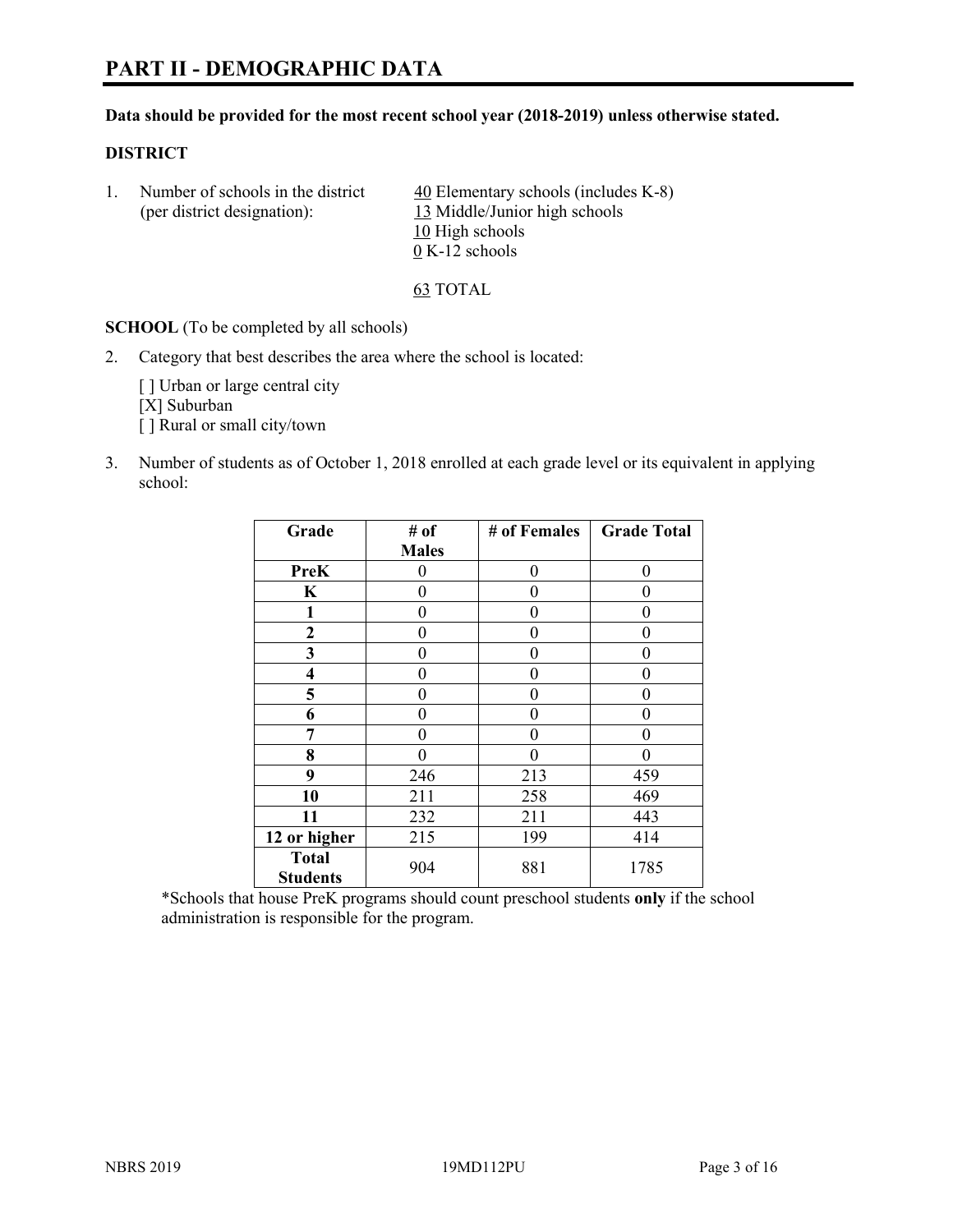# **PART II - DEMOGRAPHIC DATA**

#### **Data should be provided for the most recent school year (2018-2019) unless otherwise stated.**

#### **DISTRICT**

1. Number of schools in the district  $\frac{40}{40}$  Elementary schools (includes K-8) (per district designation): 13 Middle/Junior high schools 10 High schools 0 K-12 schools

63 TOTAL

**SCHOOL** (To be completed by all schools)

2. Category that best describes the area where the school is located:

[] Urban or large central city [X] Suburban [] Rural or small city/town

3. Number of students as of October 1, 2018 enrolled at each grade level or its equivalent in applying school:

| Grade                           | # of         | # of Females | <b>Grade Total</b> |
|---------------------------------|--------------|--------------|--------------------|
|                                 | <b>Males</b> |              |                    |
| PreK                            | 0            | $\theta$     | 0                  |
| $\mathbf K$                     | 0            | $\theta$     | 0                  |
| 1                               | 0            | $\theta$     | 0                  |
| 2                               | 0            | $\theta$     | 0                  |
| 3                               | 0            | 0            | 0                  |
| $\overline{\mathbf{4}}$         | 0            | $\theta$     | 0                  |
| 5                               | 0            | $\theta$     | 0                  |
| 6                               | 0            | $\theta$     | 0                  |
| 7                               | 0            | $\theta$     | 0                  |
| 8                               | 0            | 0            | 0                  |
| 9                               | 246          | 213          | 459                |
| 10                              | 211          | 258          | 469                |
| 11                              | 232          | 211          | 443                |
| 12 or higher                    | 215          | 199          | 414                |
| <b>Total</b><br><b>Students</b> | 904          | 881          | 1785               |

\*Schools that house PreK programs should count preschool students **only** if the school administration is responsible for the program.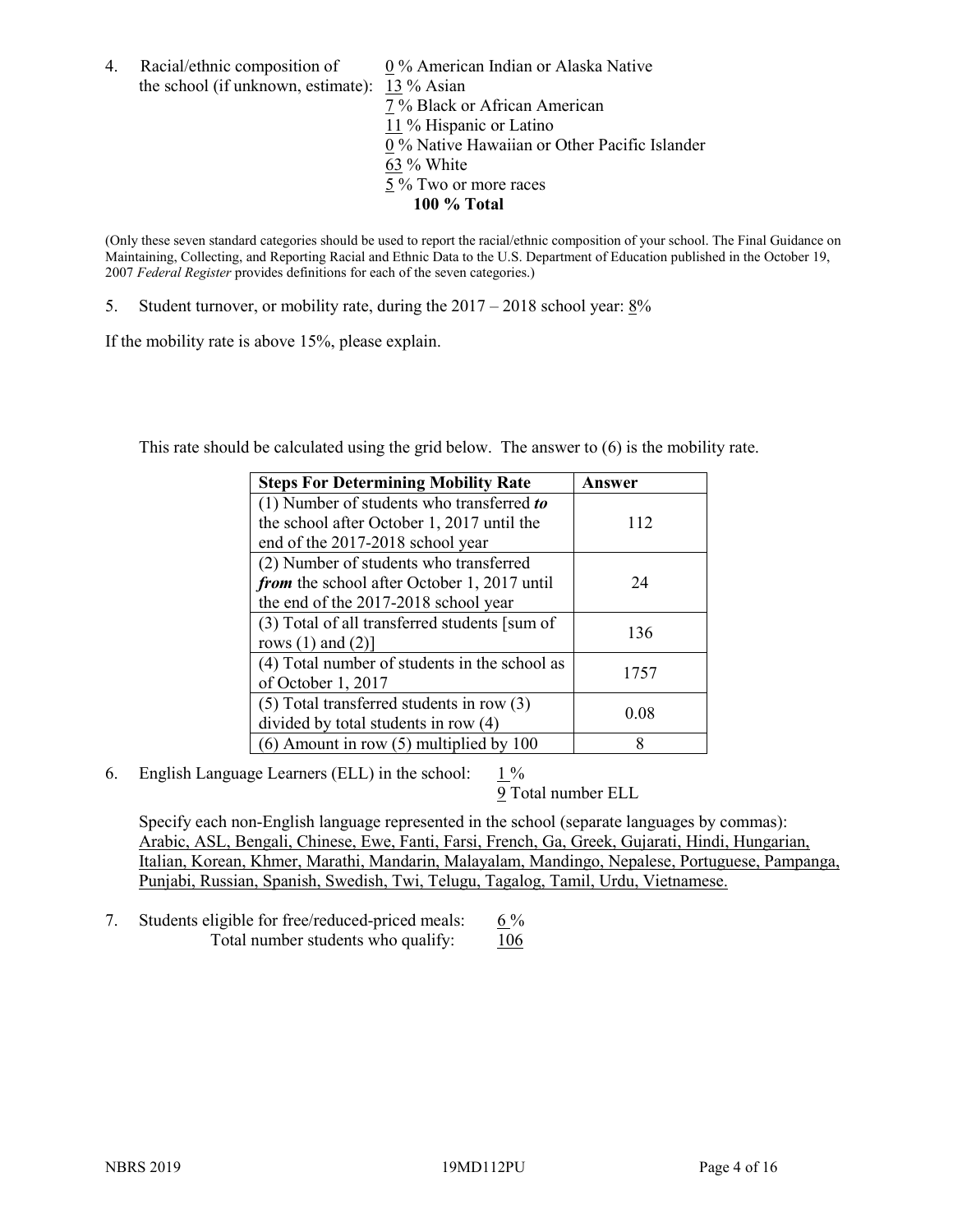4. Racial/ethnic composition of  $0\%$  American Indian or Alaska Native the school (if unknown, estimate): 13 % Asian 7 % Black or African American 11 % Hispanic or Latino 0 % Native Hawaiian or Other Pacific Islander 63 % White 5 % Two or more races

**100 % Total**

(Only these seven standard categories should be used to report the racial/ethnic composition of your school. The Final Guidance on Maintaining, Collecting, and Reporting Racial and Ethnic Data to the U.S. Department of Education published in the October 19, 2007 *Federal Register* provides definitions for each of the seven categories.)

5. Student turnover, or mobility rate, during the 2017 – 2018 school year: 8%

If the mobility rate is above 15%, please explain.

This rate should be calculated using the grid below. The answer to (6) is the mobility rate.

| <b>Steps For Determining Mobility Rate</b>    | Answer |
|-----------------------------------------------|--------|
| (1) Number of students who transferred to     |        |
| the school after October 1, 2017 until the    | 112    |
| end of the 2017-2018 school year              |        |
| (2) Number of students who transferred        |        |
| from the school after October 1, 2017 until   | 24     |
| the end of the 2017-2018 school year          |        |
| (3) Total of all transferred students [sum of | 136    |
| rows $(1)$ and $(2)$ ]                        |        |
| (4) Total number of students in the school as | 1757   |
| of October 1, 2017                            |        |
| $(5)$ Total transferred students in row $(3)$ | 0.08   |
| divided by total students in row (4)          |        |
| (6) Amount in row (5) multiplied by 100       | 8      |

6. English Language Learners (ELL) in the school: 1 %

9 Total number ELL

Specify each non-English language represented in the school (separate languages by commas): Arabic, ASL, Bengali, Chinese, Ewe, Fanti, Farsi, French, Ga, Greek, Gujarati, Hindi, Hungarian, Italian, Korean, Khmer, Marathi, Mandarin, Malayalam, Mandingo, Nepalese, Portuguese, Pampanga, Punjabi, Russian, Spanish, Swedish, Twi, Telugu, Tagalog, Tamil, Urdu, Vietnamese.

7. Students eligible for free/reduced-priced meals:  $6\%$ Total number students who qualify:  $106$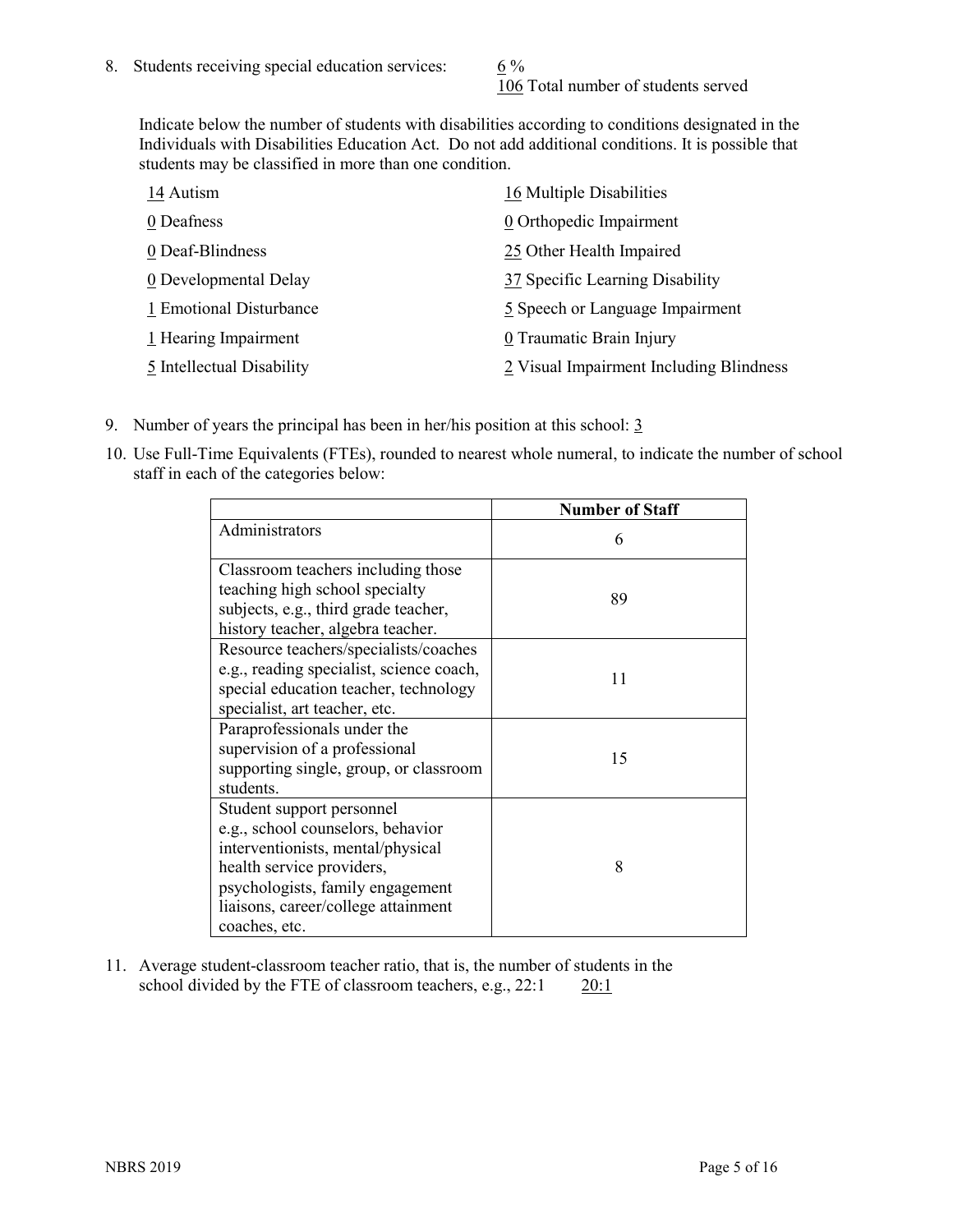106 Total number of students served

Indicate below the number of students with disabilities according to conditions designated in the Individuals with Disabilities Education Act. Do not add additional conditions. It is possible that students may be classified in more than one condition.

| 14 Autism                 | 16 Multiple Disabilities                |
|---------------------------|-----------------------------------------|
| 0 Deafness                | 0 Orthopedic Impairment                 |
| 0 Deaf-Blindness          | 25 Other Health Impaired                |
| 0 Developmental Delay     | 37 Specific Learning Disability         |
| 1 Emotional Disturbance   | 5 Speech or Language Impairment         |
| 1 Hearing Impairment      | 0 Traumatic Brain Injury                |
| 5 Intellectual Disability | 2 Visual Impairment Including Blindness |

- 9. Number of years the principal has been in her/his position at this school:  $\frac{3}{5}$
- 10. Use Full-Time Equivalents (FTEs), rounded to nearest whole numeral, to indicate the number of school staff in each of the categories below:

|                                                                                                                                                                                                                              | <b>Number of Staff</b> |
|------------------------------------------------------------------------------------------------------------------------------------------------------------------------------------------------------------------------------|------------------------|
| Administrators                                                                                                                                                                                                               | 6                      |
| Classroom teachers including those<br>teaching high school specialty<br>subjects, e.g., third grade teacher,<br>history teacher, algebra teacher.                                                                            | 89                     |
| Resource teachers/specialists/coaches<br>e.g., reading specialist, science coach,<br>special education teacher, technology<br>specialist, art teacher, etc.                                                                  | 11                     |
| Paraprofessionals under the<br>supervision of a professional<br>supporting single, group, or classroom<br>students.                                                                                                          | 15                     |
| Student support personnel<br>e.g., school counselors, behavior<br>interventionists, mental/physical<br>health service providers,<br>psychologists, family engagement<br>liaisons, career/college attainment<br>coaches, etc. | 8                      |

11. Average student-classroom teacher ratio, that is, the number of students in the school divided by the FTE of classroom teachers, e.g., 22:1 20:1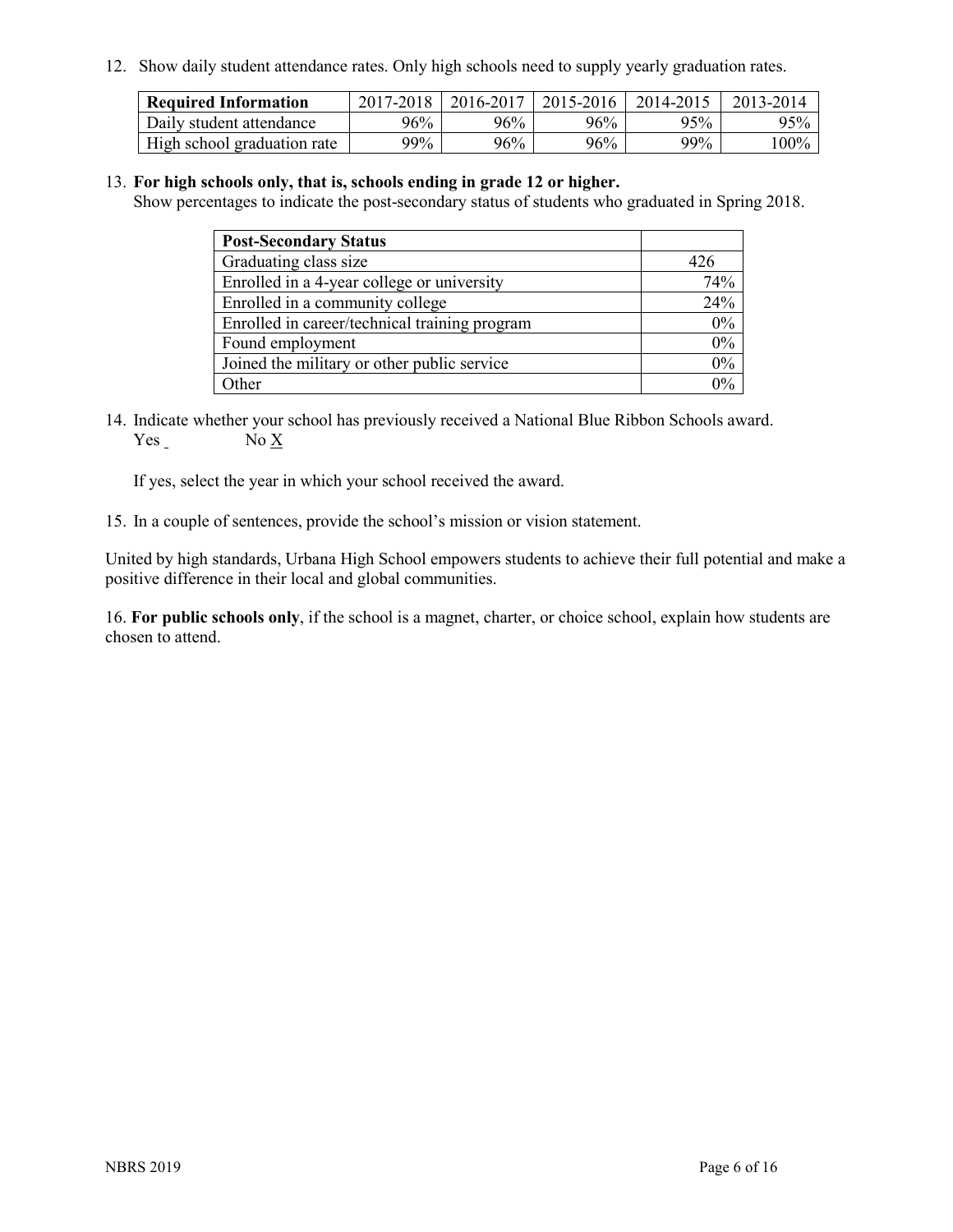12. Show daily student attendance rates. Only high schools need to supply yearly graduation rates.

| <b>Required Information</b> | 2017-2018 | 2016-2017 | 2015-2016 | 2014-2015 | 2013-2014 |
|-----------------------------|-----------|-----------|-----------|-----------|-----------|
| Daily student attendance    | $96\%$    | 96%       | 96%       | 95%       | 95%       |
| High school graduation rate | 99%       | 96%       | 96%       | 99%       | $100\%$   |

#### 13. **For high schools only, that is, schools ending in grade 12 or higher.**

Show percentages to indicate the post-secondary status of students who graduated in Spring 2018.

| <b>Post-Secondary Status</b>                  |                       |
|-----------------------------------------------|-----------------------|
| Graduating class size                         | 426                   |
| Enrolled in a 4-year college or university    | 74%                   |
| Enrolled in a community college               | 24%                   |
| Enrolled in career/technical training program | 0%                    |
| Found employment                              | 0%                    |
| Joined the military or other public service   | 0%                    |
| Other                                         | $\gamma$ <sub>0</sub> |

14. Indicate whether your school has previously received a National Blue Ribbon Schools award. Yes No X

If yes, select the year in which your school received the award.

15. In a couple of sentences, provide the school's mission or vision statement.

United by high standards, Urbana High School empowers students to achieve their full potential and make a positive difference in their local and global communities.

16. **For public schools only**, if the school is a magnet, charter, or choice school, explain how students are chosen to attend.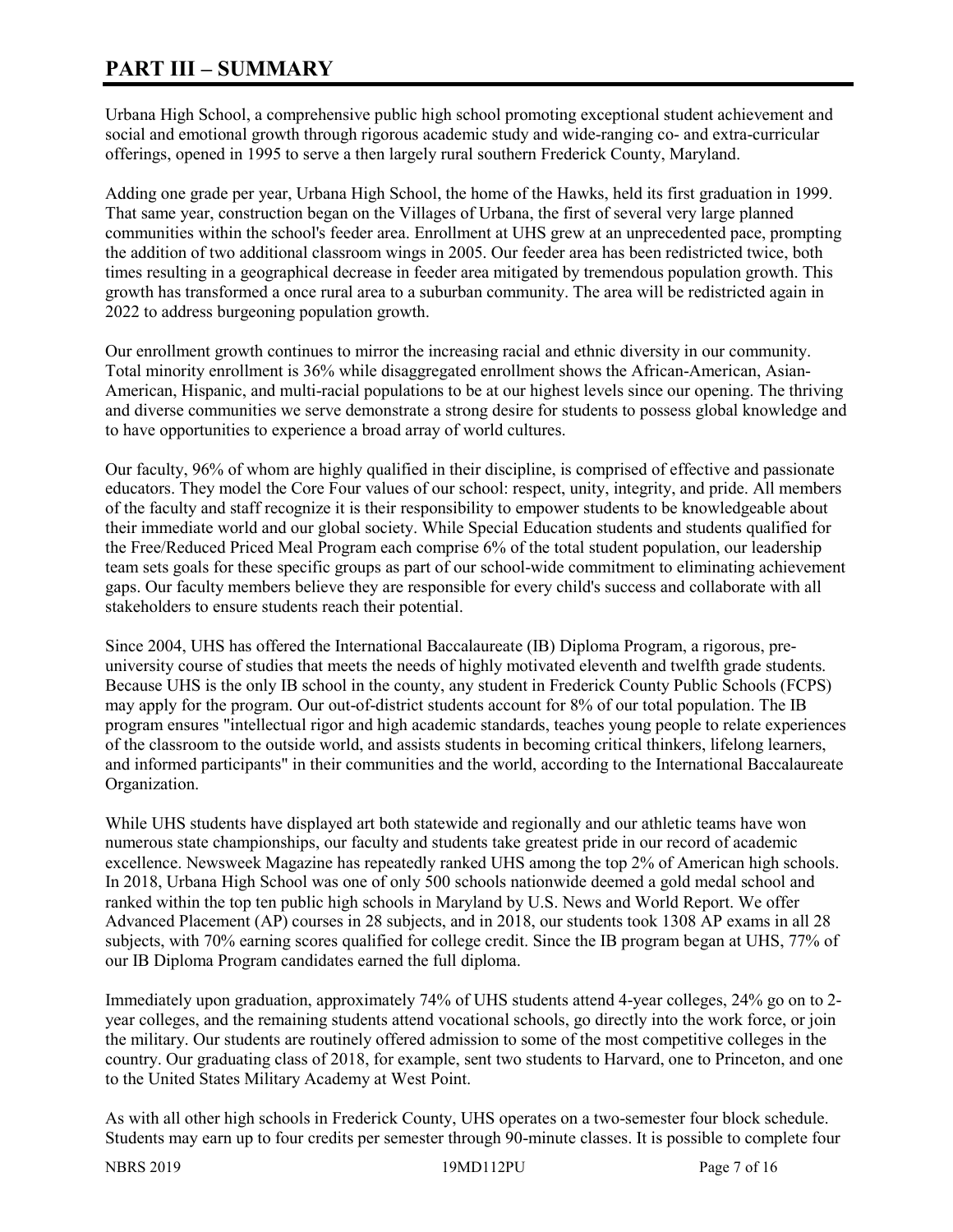# **PART III – SUMMARY**

Urbana High School, a comprehensive public high school promoting exceptional student achievement and social and emotional growth through rigorous academic study and wide-ranging co- and extra-curricular offerings, opened in 1995 to serve a then largely rural southern Frederick County, Maryland.

Adding one grade per year, Urbana High School, the home of the Hawks, held its first graduation in 1999. That same year, construction began on the Villages of Urbana, the first of several very large planned communities within the school's feeder area. Enrollment at UHS grew at an unprecedented pace, prompting the addition of two additional classroom wings in 2005. Our feeder area has been redistricted twice, both times resulting in a geographical decrease in feeder area mitigated by tremendous population growth. This growth has transformed a once rural area to a suburban community. The area will be redistricted again in 2022 to address burgeoning population growth.

Our enrollment growth continues to mirror the increasing racial and ethnic diversity in our community. Total minority enrollment is 36% while disaggregated enrollment shows the African-American, Asian-American, Hispanic, and multi-racial populations to be at our highest levels since our opening. The thriving and diverse communities we serve demonstrate a strong desire for students to possess global knowledge and to have opportunities to experience a broad array of world cultures.

Our faculty, 96% of whom are highly qualified in their discipline, is comprised of effective and passionate educators. They model the Core Four values of our school: respect, unity, integrity, and pride. All members of the faculty and staff recognize it is their responsibility to empower students to be knowledgeable about their immediate world and our global society. While Special Education students and students qualified for the Free/Reduced Priced Meal Program each comprise 6% of the total student population, our leadership team sets goals for these specific groups as part of our school-wide commitment to eliminating achievement gaps. Our faculty members believe they are responsible for every child's success and collaborate with all stakeholders to ensure students reach their potential.

Since 2004, UHS has offered the International Baccalaureate (IB) Diploma Program, a rigorous, preuniversity course of studies that meets the needs of highly motivated eleventh and twelfth grade students. Because UHS is the only IB school in the county, any student in Frederick County Public Schools (FCPS) may apply for the program. Our out-of-district students account for 8% of our total population. The IB program ensures "intellectual rigor and high academic standards, teaches young people to relate experiences of the classroom to the outside world, and assists students in becoming critical thinkers, lifelong learners, and informed participants" in their communities and the world, according to the International Baccalaureate Organization.

While UHS students have displayed art both statewide and regionally and our athletic teams have won numerous state championships, our faculty and students take greatest pride in our record of academic excellence. Newsweek Magazine has repeatedly ranked UHS among the top 2% of American high schools. In 2018, Urbana High School was one of only 500 schools nationwide deemed a gold medal school and ranked within the top ten public high schools in Maryland by U.S. News and World Report. We offer Advanced Placement (AP) courses in 28 subjects, and in 2018, our students took 1308 AP exams in all 28 subjects, with 70% earning scores qualified for college credit. Since the IB program began at UHS, 77% of our IB Diploma Program candidates earned the full diploma.

Immediately upon graduation, approximately 74% of UHS students attend 4-year colleges, 24% go on to 2 year colleges, and the remaining students attend vocational schools, go directly into the work force, or join the military. Our students are routinely offered admission to some of the most competitive colleges in the country. Our graduating class of 2018, for example, sent two students to Harvard, one to Princeton, and one to the United States Military Academy at West Point.

As with all other high schools in Frederick County, UHS operates on a two-semester four block schedule. Students may earn up to four credits per semester through 90-minute classes. It is possible to complete four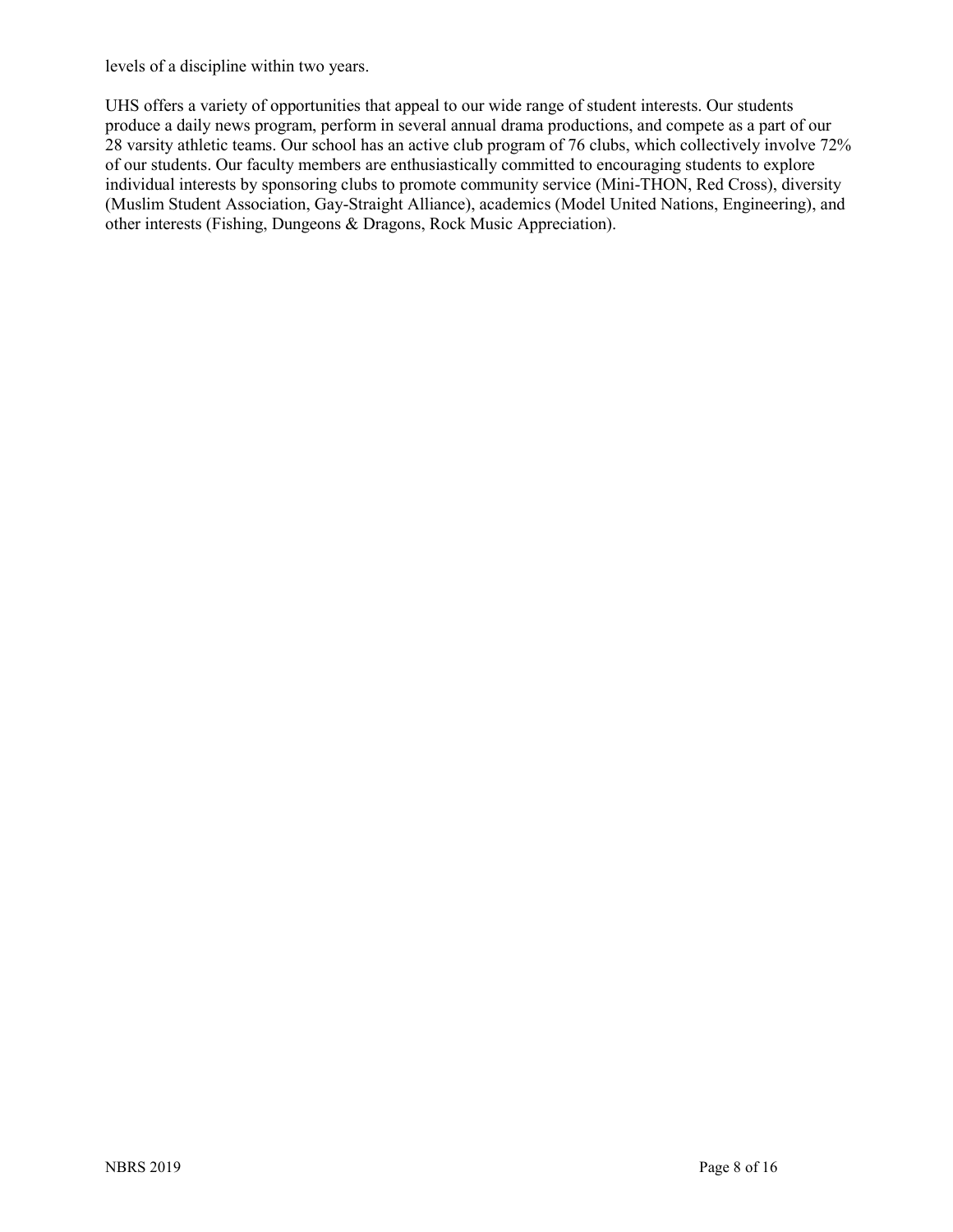levels of a discipline within two years.

UHS offers a variety of opportunities that appeal to our wide range of student interests. Our students produce a daily news program, perform in several annual drama productions, and compete as a part of our 28 varsity athletic teams. Our school has an active club program of 76 clubs, which collectively involve 72% of our students. Our faculty members are enthusiastically committed to encouraging students to explore individual interests by sponsoring clubs to promote community service (Mini-THON, Red Cross), diversity (Muslim Student Association, Gay-Straight Alliance), academics (Model United Nations, Engineering), and other interests (Fishing, Dungeons & Dragons, Rock Music Appreciation).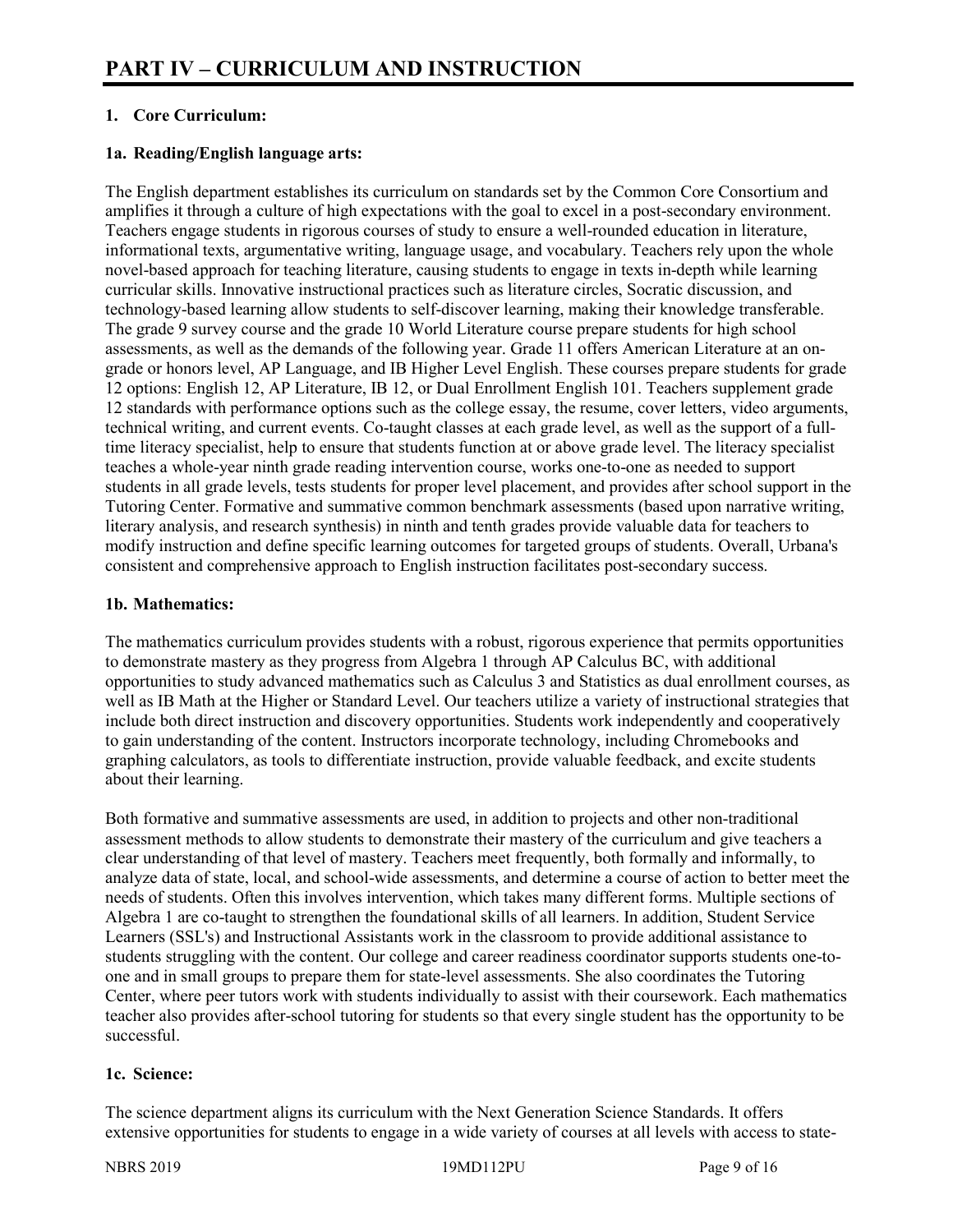# **1. Core Curriculum:**

#### **1a. Reading/English language arts:**

The English department establishes its curriculum on standards set by the Common Core Consortium and amplifies it through a culture of high expectations with the goal to excel in a post-secondary environment. Teachers engage students in rigorous courses of study to ensure a well-rounded education in literature, informational texts, argumentative writing, language usage, and vocabulary. Teachers rely upon the whole novel-based approach for teaching literature, causing students to engage in texts in-depth while learning curricular skills. Innovative instructional practices such as literature circles, Socratic discussion, and technology-based learning allow students to self-discover learning, making their knowledge transferable. The grade 9 survey course and the grade 10 World Literature course prepare students for high school assessments, as well as the demands of the following year. Grade 11 offers American Literature at an ongrade or honors level, AP Language, and IB Higher Level English. These courses prepare students for grade 12 options: English 12, AP Literature, IB 12, or Dual Enrollment English 101. Teachers supplement grade 12 standards with performance options such as the college essay, the resume, cover letters, video arguments, technical writing, and current events. Co-taught classes at each grade level, as well as the support of a fulltime literacy specialist, help to ensure that students function at or above grade level. The literacy specialist teaches a whole-year ninth grade reading intervention course, works one-to-one as needed to support students in all grade levels, tests students for proper level placement, and provides after school support in the Tutoring Center. Formative and summative common benchmark assessments (based upon narrative writing, literary analysis, and research synthesis) in ninth and tenth grades provide valuable data for teachers to modify instruction and define specific learning outcomes for targeted groups of students. Overall, Urbana's consistent and comprehensive approach to English instruction facilitates post-secondary success.

#### **1b. Mathematics:**

The mathematics curriculum provides students with a robust, rigorous experience that permits opportunities to demonstrate mastery as they progress from Algebra 1 through AP Calculus BC, with additional opportunities to study advanced mathematics such as Calculus 3 and Statistics as dual enrollment courses, as well as IB Math at the Higher or Standard Level. Our teachers utilize a variety of instructional strategies that include both direct instruction and discovery opportunities. Students work independently and cooperatively to gain understanding of the content. Instructors incorporate technology, including Chromebooks and graphing calculators, as tools to differentiate instruction, provide valuable feedback, and excite students about their learning.

Both formative and summative assessments are used, in addition to projects and other non-traditional assessment methods to allow students to demonstrate their mastery of the curriculum and give teachers a clear understanding of that level of mastery. Teachers meet frequently, both formally and informally, to analyze data of state, local, and school-wide assessments, and determine a course of action to better meet the needs of students. Often this involves intervention, which takes many different forms. Multiple sections of Algebra 1 are co-taught to strengthen the foundational skills of all learners. In addition, Student Service Learners (SSL's) and Instructional Assistants work in the classroom to provide additional assistance to students struggling with the content. Our college and career readiness coordinator supports students one-toone and in small groups to prepare them for state-level assessments. She also coordinates the Tutoring Center, where peer tutors work with students individually to assist with their coursework. Each mathematics teacher also provides after-school tutoring for students so that every single student has the opportunity to be successful.

#### **1c. Science:**

The science department aligns its curriculum with the Next Generation Science Standards. It offers extensive opportunities for students to engage in a wide variety of courses at all levels with access to state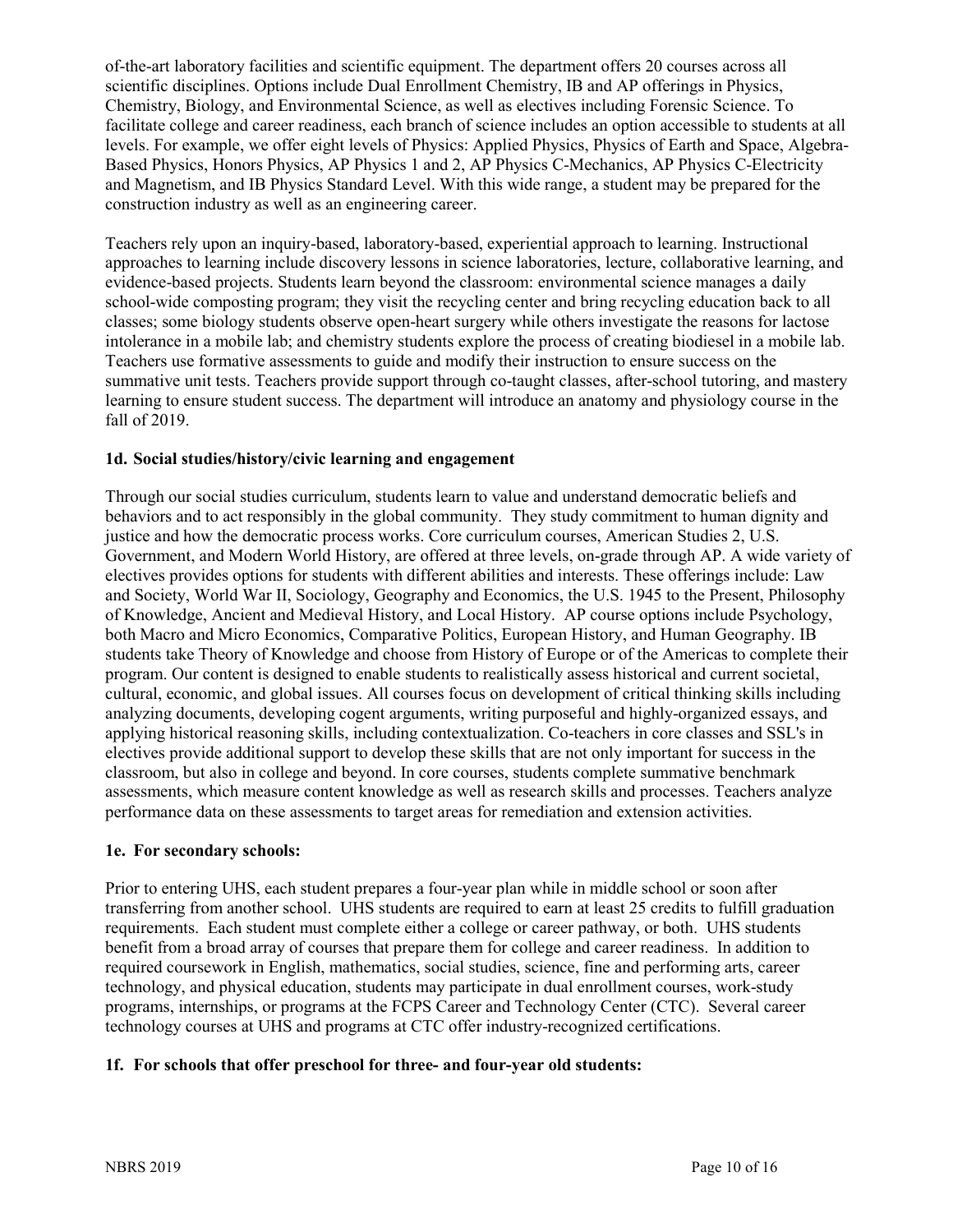of-the-art laboratory facilities and scientific equipment. The department offers 20 courses across all scientific disciplines. Options include Dual Enrollment Chemistry, IB and AP offerings in Physics, Chemistry, Biology, and Environmental Science, as well as electives including Forensic Science. To facilitate college and career readiness, each branch of science includes an option accessible to students at all levels. For example, we offer eight levels of Physics: Applied Physics, Physics of Earth and Space, Algebra-Based Physics, Honors Physics, AP Physics 1 and 2, AP Physics C-Mechanics, AP Physics C-Electricity and Magnetism, and IB Physics Standard Level. With this wide range, a student may be prepared for the construction industry as well as an engineering career.

Teachers rely upon an inquiry-based, laboratory-based, experiential approach to learning. Instructional approaches to learning include discovery lessons in science laboratories, lecture, collaborative learning, and evidence-based projects. Students learn beyond the classroom: environmental science manages a daily school-wide composting program; they visit the recycling center and bring recycling education back to all classes; some biology students observe open-heart surgery while others investigate the reasons for lactose intolerance in a mobile lab; and chemistry students explore the process of creating biodiesel in a mobile lab. Teachers use formative assessments to guide and modify their instruction to ensure success on the summative unit tests. Teachers provide support through co-taught classes, after-school tutoring, and mastery learning to ensure student success. The department will introduce an anatomy and physiology course in the fall of 2019.

#### **1d. Social studies/history/civic learning and engagement**

Through our social studies curriculum, students learn to value and understand democratic beliefs and behaviors and to act responsibly in the global community. They study commitment to human dignity and justice and how the democratic process works. Core curriculum courses, American Studies 2, U.S. Government, and Modern World History, are offered at three levels, on-grade through AP. A wide variety of electives provides options for students with different abilities and interests. These offerings include: Law and Society, World War II, Sociology, Geography and Economics, the U.S. 1945 to the Present, Philosophy of Knowledge, Ancient and Medieval History, and Local History. AP course options include Psychology, both Macro and Micro Economics, Comparative Politics, European History, and Human Geography. IB students take Theory of Knowledge and choose from History of Europe or of the Americas to complete their program. Our content is designed to enable students to realistically assess historical and current societal, cultural, economic, and global issues. All courses focus on development of critical thinking skills including analyzing documents, developing cogent arguments, writing purposeful and highly-organized essays, and applying historical reasoning skills, including contextualization. Co-teachers in core classes and SSL's in electives provide additional support to develop these skills that are not only important for success in the classroom, but also in college and beyond. In core courses, students complete summative benchmark assessments, which measure content knowledge as well as research skills and processes. Teachers analyze performance data on these assessments to target areas for remediation and extension activities.

#### **1e. For secondary schools:**

Prior to entering UHS, each student prepares a four-year plan while in middle school or soon after transferring from another school. UHS students are required to earn at least 25 credits to fulfill graduation requirements. Each student must complete either a college or career pathway, or both. UHS students benefit from a broad array of courses that prepare them for college and career readiness. In addition to required coursework in English, mathematics, social studies, science, fine and performing arts, career technology, and physical education, students may participate in dual enrollment courses, work-study programs, internships, or programs at the FCPS Career and Technology Center (CTC). Several career technology courses at UHS and programs at CTC offer industry-recognized certifications.

# **1f. For schools that offer preschool for three- and four-year old students:**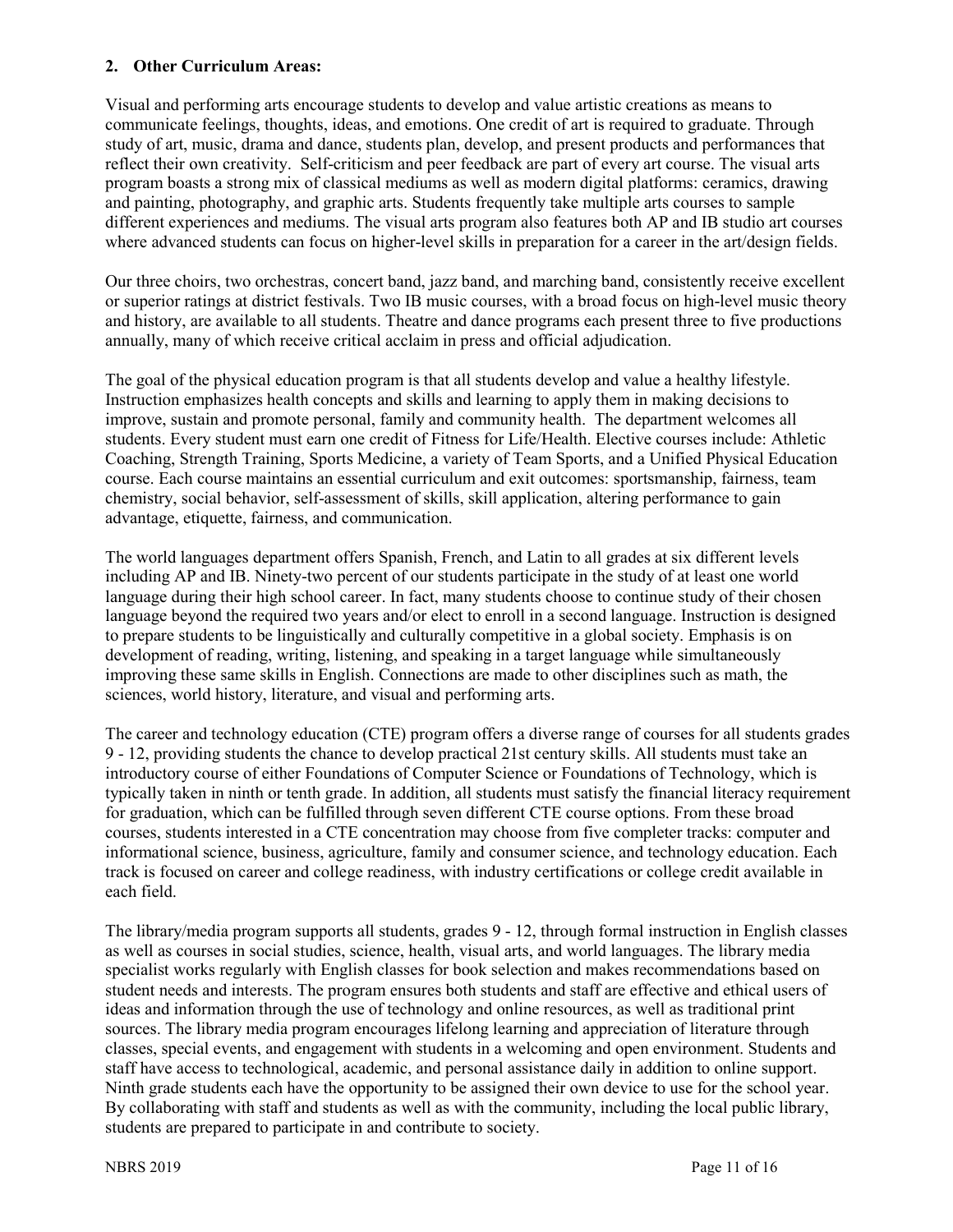#### **2. Other Curriculum Areas:**

Visual and performing arts encourage students to develop and value artistic creations as means to communicate feelings, thoughts, ideas, and emotions. One credit of art is required to graduate. Through study of art, music, drama and dance, students plan, develop, and present products and performances that reflect their own creativity. Self-criticism and peer feedback are part of every art course. The visual arts program boasts a strong mix of classical mediums as well as modern digital platforms: ceramics, drawing and painting, photography, and graphic arts. Students frequently take multiple arts courses to sample different experiences and mediums. The visual arts program also features both AP and IB studio art courses where advanced students can focus on higher-level skills in preparation for a career in the art/design fields.

Our three choirs, two orchestras, concert band, jazz band, and marching band, consistently receive excellent or superior ratings at district festivals. Two IB music courses, with a broad focus on high-level music theory and history, are available to all students. Theatre and dance programs each present three to five productions annually, many of which receive critical acclaim in press and official adjudication.

The goal of the physical education program is that all students develop and value a healthy lifestyle. Instruction emphasizes health concepts and skills and learning to apply them in making decisions to improve, sustain and promote personal, family and community health. The department welcomes all students. Every student must earn one credit of Fitness for Life/Health. Elective courses include: Athletic Coaching, Strength Training, Sports Medicine, a variety of Team Sports, and a Unified Physical Education course. Each course maintains an essential curriculum and exit outcomes: sportsmanship, fairness, team chemistry, social behavior, self-assessment of skills, skill application, altering performance to gain advantage, etiquette, fairness, and communication.

The world languages department offers Spanish, French, and Latin to all grades at six different levels including AP and IB. Ninety-two percent of our students participate in the study of at least one world language during their high school career. In fact, many students choose to continue study of their chosen language beyond the required two years and/or elect to enroll in a second language. Instruction is designed to prepare students to be linguistically and culturally competitive in a global society. Emphasis is on development of reading, writing, listening, and speaking in a target language while simultaneously improving these same skills in English. Connections are made to other disciplines such as math, the sciences, world history, literature, and visual and performing arts.

The career and technology education (CTE) program offers a diverse range of courses for all students grades 9 - 12, providing students the chance to develop practical 21st century skills. All students must take an introductory course of either Foundations of Computer Science or Foundations of Technology, which is typically taken in ninth or tenth grade. In addition, all students must satisfy the financial literacy requirement for graduation, which can be fulfilled through seven different CTE course options. From these broad courses, students interested in a CTE concentration may choose from five completer tracks: computer and informational science, business, agriculture, family and consumer science, and technology education. Each track is focused on career and college readiness, with industry certifications or college credit available in each field.

The library/media program supports all students, grades 9 - 12, through formal instruction in English classes as well as courses in social studies, science, health, visual arts, and world languages. The library media specialist works regularly with English classes for book selection and makes recommendations based on student needs and interests. The program ensures both students and staff are effective and ethical users of ideas and information through the use of technology and online resources, as well as traditional print sources. The library media program encourages lifelong learning and appreciation of literature through classes, special events, and engagement with students in a welcoming and open environment. Students and staff have access to technological, academic, and personal assistance daily in addition to online support. Ninth grade students each have the opportunity to be assigned their own device to use for the school year. By collaborating with staff and students as well as with the community, including the local public library, students are prepared to participate in and contribute to society.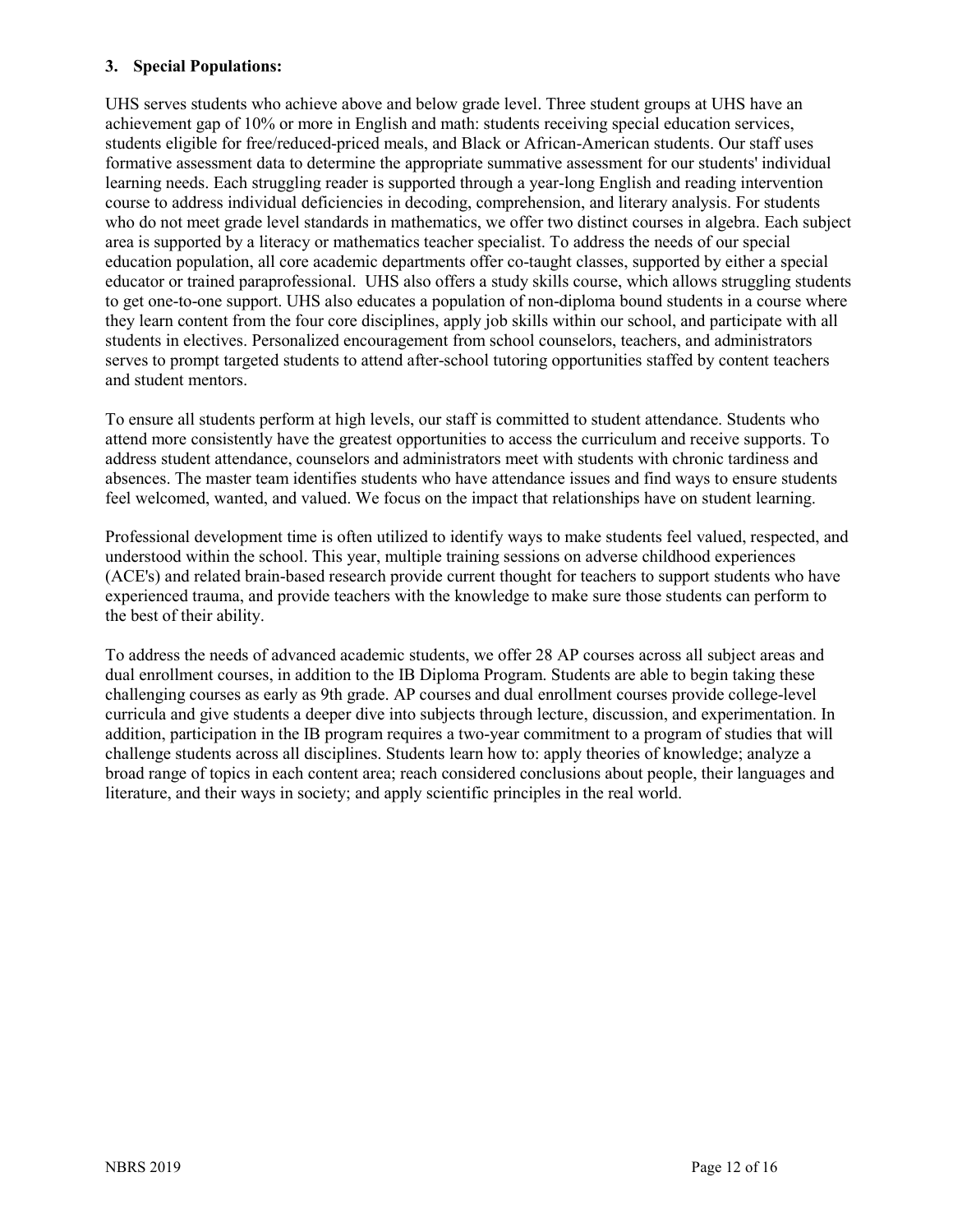#### **3. Special Populations:**

UHS serves students who achieve above and below grade level. Three student groups at UHS have an achievement gap of 10% or more in English and math: students receiving special education services, students eligible for free/reduced-priced meals, and Black or African-American students. Our staff uses formative assessment data to determine the appropriate summative assessment for our students' individual learning needs. Each struggling reader is supported through a year-long English and reading intervention course to address individual deficiencies in decoding, comprehension, and literary analysis. For students who do not meet grade level standards in mathematics, we offer two distinct courses in algebra. Each subject area is supported by a literacy or mathematics teacher specialist. To address the needs of our special education population, all core academic departments offer co-taught classes, supported by either a special educator or trained paraprofessional. UHS also offers a study skills course, which allows struggling students to get one-to-one support. UHS also educates a population of non-diploma bound students in a course where they learn content from the four core disciplines, apply job skills within our school, and participate with all students in electives. Personalized encouragement from school counselors, teachers, and administrators serves to prompt targeted students to attend after-school tutoring opportunities staffed by content teachers and student mentors.

To ensure all students perform at high levels, our staff is committed to student attendance. Students who attend more consistently have the greatest opportunities to access the curriculum and receive supports. To address student attendance, counselors and administrators meet with students with chronic tardiness and absences. The master team identifies students who have attendance issues and find ways to ensure students feel welcomed, wanted, and valued. We focus on the impact that relationships have on student learning.

Professional development time is often utilized to identify ways to make students feel valued, respected, and understood within the school. This year, multiple training sessions on adverse childhood experiences (ACE's) and related brain-based research provide current thought for teachers to support students who have experienced trauma, and provide teachers with the knowledge to make sure those students can perform to the best of their ability.

To address the needs of advanced academic students, we offer 28 AP courses across all subject areas and dual enrollment courses, in addition to the IB Diploma Program. Students are able to begin taking these challenging courses as early as 9th grade. AP courses and dual enrollment courses provide college-level curricula and give students a deeper dive into subjects through lecture, discussion, and experimentation. In addition, participation in the IB program requires a two-year commitment to a program of studies that will challenge students across all disciplines. Students learn how to: apply theories of knowledge; analyze a broad range of topics in each content area; reach considered conclusions about people, their languages and literature, and their ways in society; and apply scientific principles in the real world.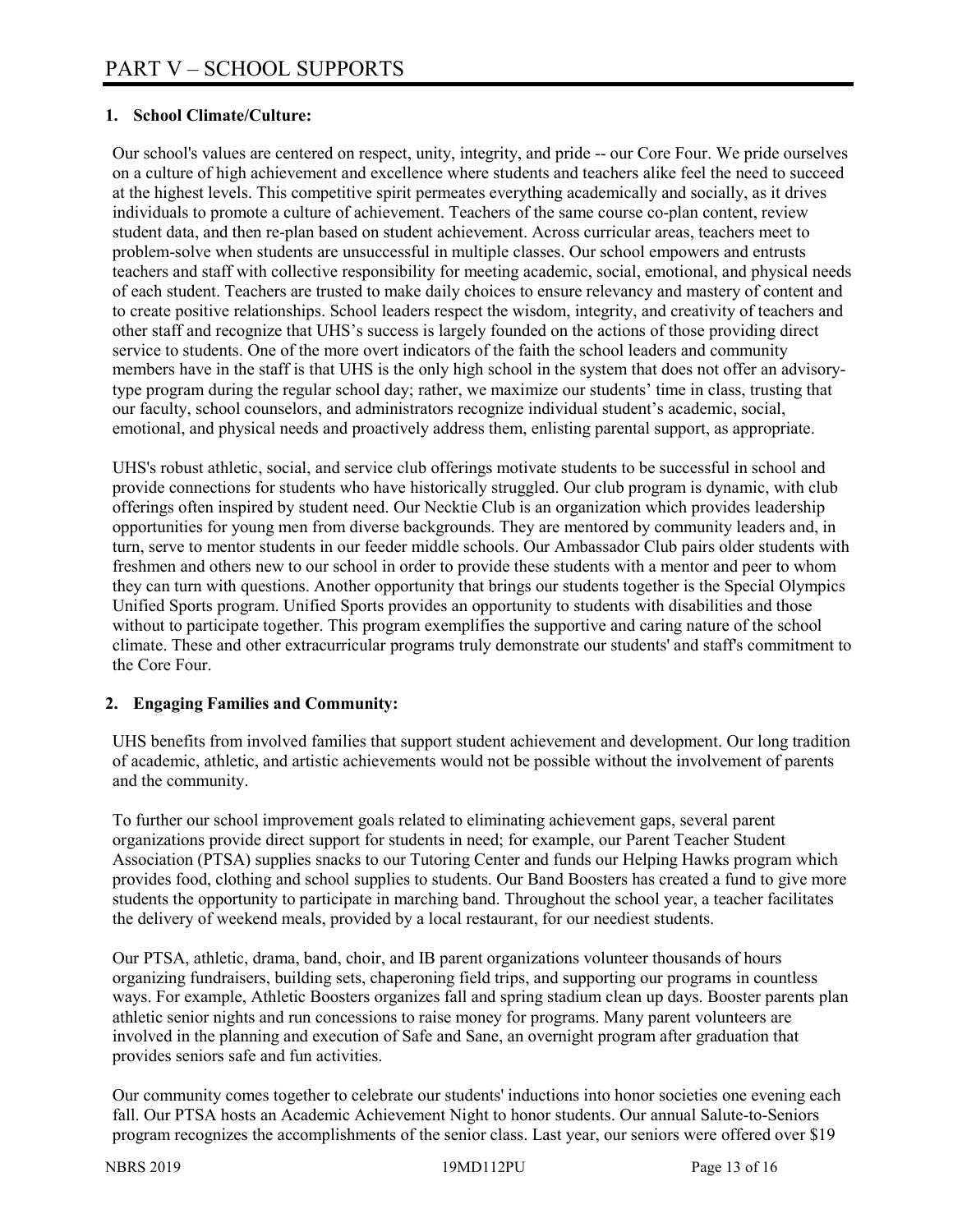### **1. School Climate/Culture:**

Our school's values are centered on respect, unity, integrity, and pride -- our Core Four. We pride ourselves on a culture of high achievement and excellence where students and teachers alike feel the need to succeed at the highest levels. This competitive spirit permeates everything academically and socially, as it drives individuals to promote a culture of achievement. Teachers of the same course co-plan content, review student data, and then re-plan based on student achievement. Across curricular areas, teachers meet to problem-solve when students are unsuccessful in multiple classes. Our school empowers and entrusts teachers and staff with collective responsibility for meeting academic, social, emotional, and physical needs of each student. Teachers are trusted to make daily choices to ensure relevancy and mastery of content and to create positive relationships. School leaders respect the wisdom, integrity, and creativity of teachers and other staff and recognize that UHS's success is largely founded on the actions of those providing direct service to students. One of the more overt indicators of the faith the school leaders and community members have in the staff is that UHS is the only high school in the system that does not offer an advisorytype program during the regular school day; rather, we maximize our students' time in class, trusting that our faculty, school counselors, and administrators recognize individual student's academic, social, emotional, and physical needs and proactively address them, enlisting parental support, as appropriate.

UHS's robust athletic, social, and service club offerings motivate students to be successful in school and provide connections for students who have historically struggled. Our club program is dynamic, with club offerings often inspired by student need. Our Necktie Club is an organization which provides leadership opportunities for young men from diverse backgrounds. They are mentored by community leaders and, in turn, serve to mentor students in our feeder middle schools. Our Ambassador Club pairs older students with freshmen and others new to our school in order to provide these students with a mentor and peer to whom they can turn with questions. Another opportunity that brings our students together is the Special Olympics Unified Sports program. Unified Sports provides an opportunity to students with disabilities and those without to participate together. This program exemplifies the supportive and caring nature of the school climate. These and other extracurricular programs truly demonstrate our students' and staff's commitment to the Core Four.

# **2. Engaging Families and Community:**

UHS benefits from involved families that support student achievement and development. Our long tradition of academic, athletic, and artistic achievements would not be possible without the involvement of parents and the community.

To further our school improvement goals related to eliminating achievement gaps, several parent organizations provide direct support for students in need; for example, our Parent Teacher Student Association (PTSA) supplies snacks to our Tutoring Center and funds our Helping Hawks program which provides food, clothing and school supplies to students. Our Band Boosters has created a fund to give more students the opportunity to participate in marching band. Throughout the school year, a teacher facilitates the delivery of weekend meals, provided by a local restaurant, for our neediest students.

Our PTSA, athletic, drama, band, choir, and IB parent organizations volunteer thousands of hours organizing fundraisers, building sets, chaperoning field trips, and supporting our programs in countless ways. For example, Athletic Boosters organizes fall and spring stadium clean up days. Booster parents plan athletic senior nights and run concessions to raise money for programs. Many parent volunteers are involved in the planning and execution of Safe and Sane, an overnight program after graduation that provides seniors safe and fun activities.

Our community comes together to celebrate our students' inductions into honor societies one evening each fall. Our PTSA hosts an Academic Achievement Night to honor students. Our annual Salute-to-Seniors program recognizes the accomplishments of the senior class. Last year, our seniors were offered over \$19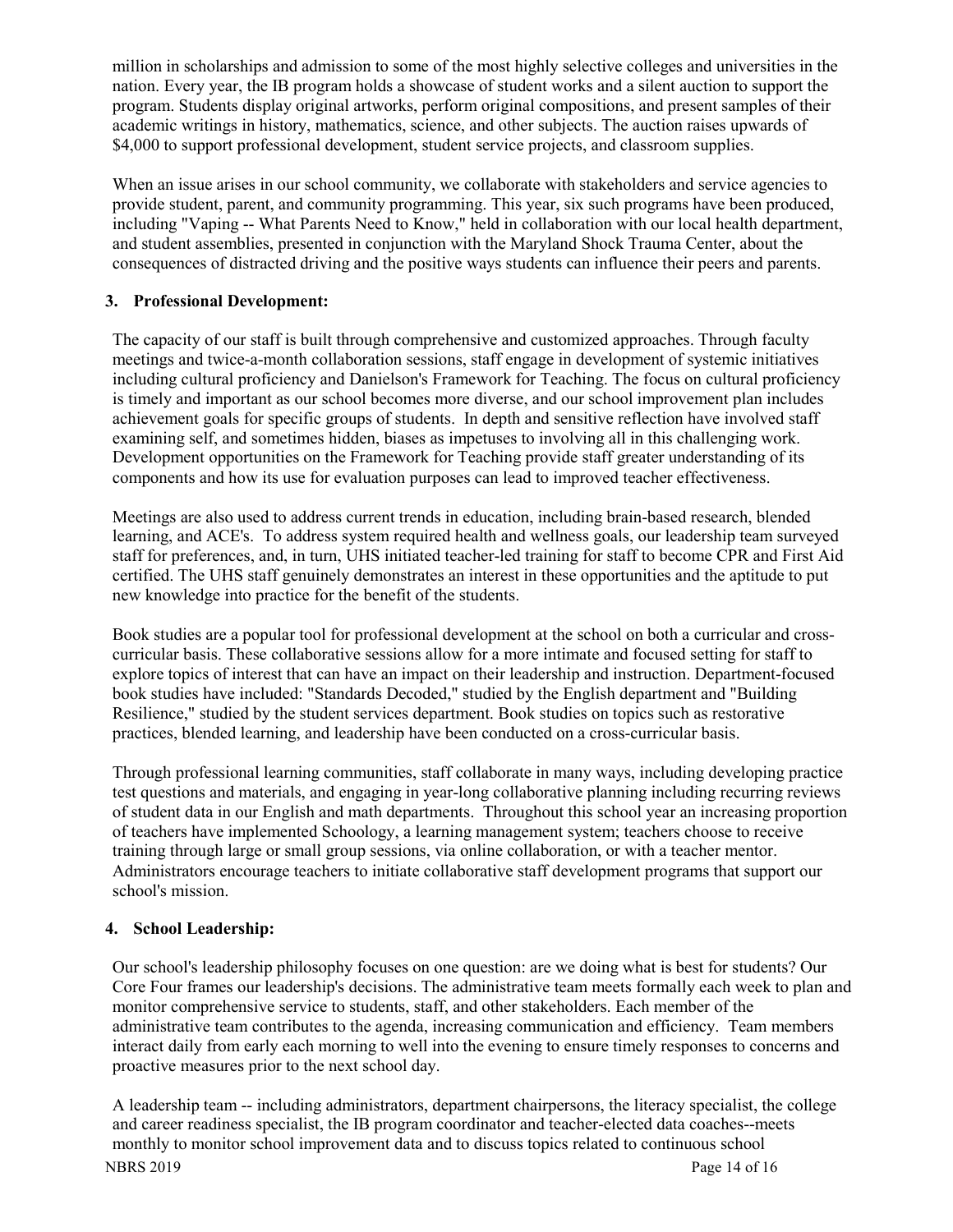million in scholarships and admission to some of the most highly selective colleges and universities in the nation. Every year, the IB program holds a showcase of student works and a silent auction to support the program. Students display original artworks, perform original compositions, and present samples of their academic writings in history, mathematics, science, and other subjects. The auction raises upwards of \$4,000 to support professional development, student service projects, and classroom supplies.

When an issue arises in our school community, we collaborate with stakeholders and service agencies to provide student, parent, and community programming. This year, six such programs have been produced, including "Vaping -- What Parents Need to Know," held in collaboration with our local health department, and student assemblies, presented in conjunction with the Maryland Shock Trauma Center, about the consequences of distracted driving and the positive ways students can influence their peers and parents.

# **3. Professional Development:**

The capacity of our staff is built through comprehensive and customized approaches. Through faculty meetings and twice-a-month collaboration sessions, staff engage in development of systemic initiatives including cultural proficiency and Danielson's Framework for Teaching. The focus on cultural proficiency is timely and important as our school becomes more diverse, and our school improvement plan includes achievement goals for specific groups of students. In depth and sensitive reflection have involved staff examining self, and sometimes hidden, biases as impetuses to involving all in this challenging work. Development opportunities on the Framework for Teaching provide staff greater understanding of its components and how its use for evaluation purposes can lead to improved teacher effectiveness.

Meetings are also used to address current trends in education, including brain-based research, blended learning, and ACE's. To address system required health and wellness goals, our leadership team surveyed staff for preferences, and, in turn, UHS initiated teacher-led training for staff to become CPR and First Aid certified. The UHS staff genuinely demonstrates an interest in these opportunities and the aptitude to put new knowledge into practice for the benefit of the students.

Book studies are a popular tool for professional development at the school on both a curricular and crosscurricular basis. These collaborative sessions allow for a more intimate and focused setting for staff to explore topics of interest that can have an impact on their leadership and instruction. Department-focused book studies have included: "Standards Decoded," studied by the English department and "Building Resilience," studied by the student services department. Book studies on topics such as restorative practices, blended learning, and leadership have been conducted on a cross-curricular basis.

Through professional learning communities, staff collaborate in many ways, including developing practice test questions and materials, and engaging in year-long collaborative planning including recurring reviews of student data in our English and math departments. Throughout this school year an increasing proportion of teachers have implemented Schoology, a learning management system; teachers choose to receive training through large or small group sessions, via online collaboration, or with a teacher mentor. Administrators encourage teachers to initiate collaborative staff development programs that support our school's mission.

# **4. School Leadership:**

Our school's leadership philosophy focuses on one question: are we doing what is best for students? Our Core Four frames our leadership's decisions. The administrative team meets formally each week to plan and monitor comprehensive service to students, staff, and other stakeholders. Each member of the administrative team contributes to the agenda, increasing communication and efficiency. Team members interact daily from early each morning to well into the evening to ensure timely responses to concerns and proactive measures prior to the next school day.

NBRS 2019 Page 14 of 16 A leadership team -- including administrators, department chairpersons, the literacy specialist, the college and career readiness specialist, the IB program coordinator and teacher-elected data coaches--meets monthly to monitor school improvement data and to discuss topics related to continuous school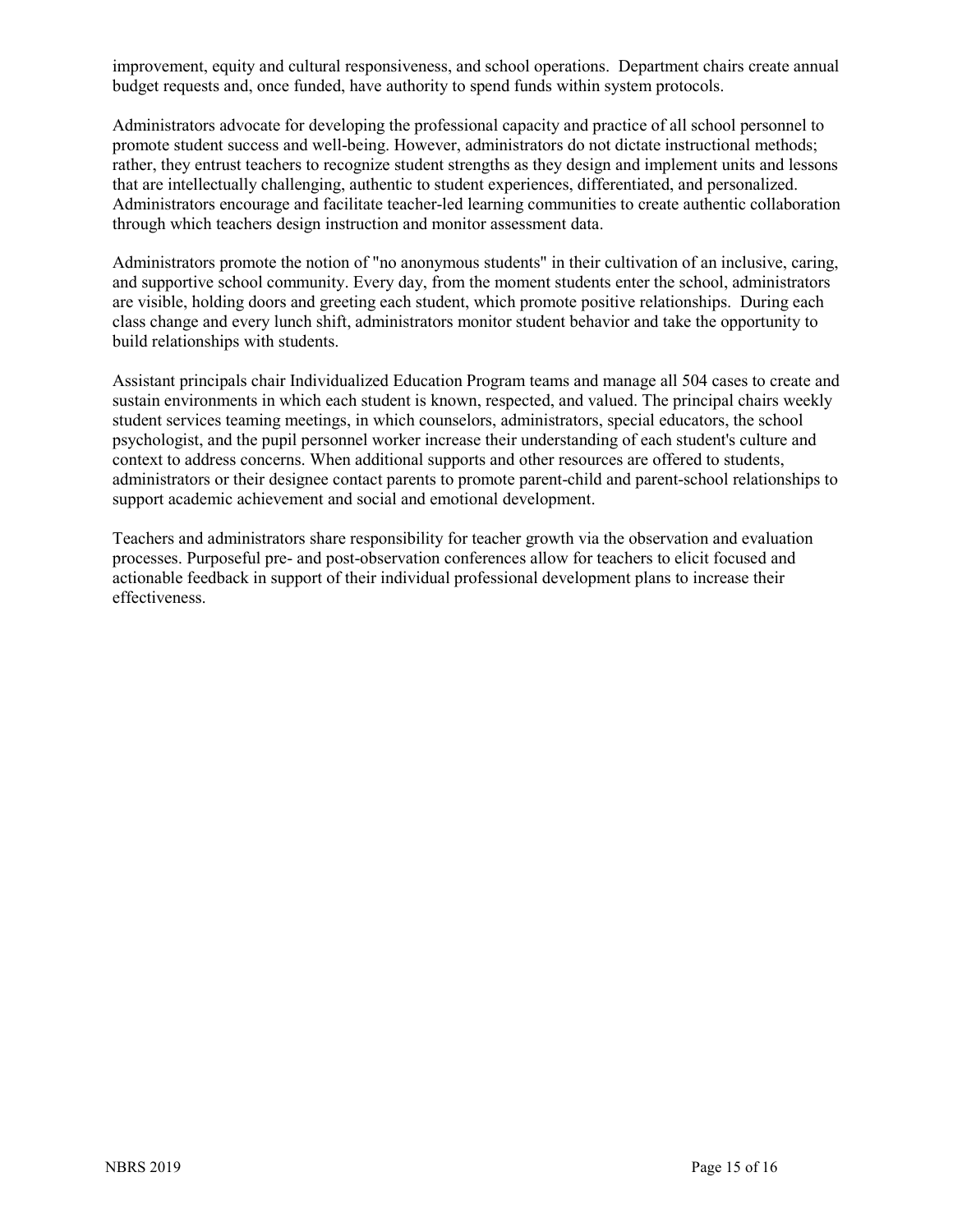improvement, equity and cultural responsiveness, and school operations. Department chairs create annual budget requests and, once funded, have authority to spend funds within system protocols.

Administrators advocate for developing the professional capacity and practice of all school personnel to promote student success and well-being. However, administrators do not dictate instructional methods; rather, they entrust teachers to recognize student strengths as they design and implement units and lessons that are intellectually challenging, authentic to student experiences, differentiated, and personalized. Administrators encourage and facilitate teacher-led learning communities to create authentic collaboration through which teachers design instruction and monitor assessment data.

Administrators promote the notion of "no anonymous students" in their cultivation of an inclusive, caring, and supportive school community. Every day, from the moment students enter the school, administrators are visible, holding doors and greeting each student, which promote positive relationships. During each class change and every lunch shift, administrators monitor student behavior and take the opportunity to build relationships with students.

Assistant principals chair Individualized Education Program teams and manage all 504 cases to create and sustain environments in which each student is known, respected, and valued. The principal chairs weekly student services teaming meetings, in which counselors, administrators, special educators, the school psychologist, and the pupil personnel worker increase their understanding of each student's culture and context to address concerns. When additional supports and other resources are offered to students, administrators or their designee contact parents to promote parent-child and parent-school relationships to support academic achievement and social and emotional development.

Teachers and administrators share responsibility for teacher growth via the observation and evaluation processes. Purposeful pre- and post-observation conferences allow for teachers to elicit focused and actionable feedback in support of their individual professional development plans to increase their effectiveness.